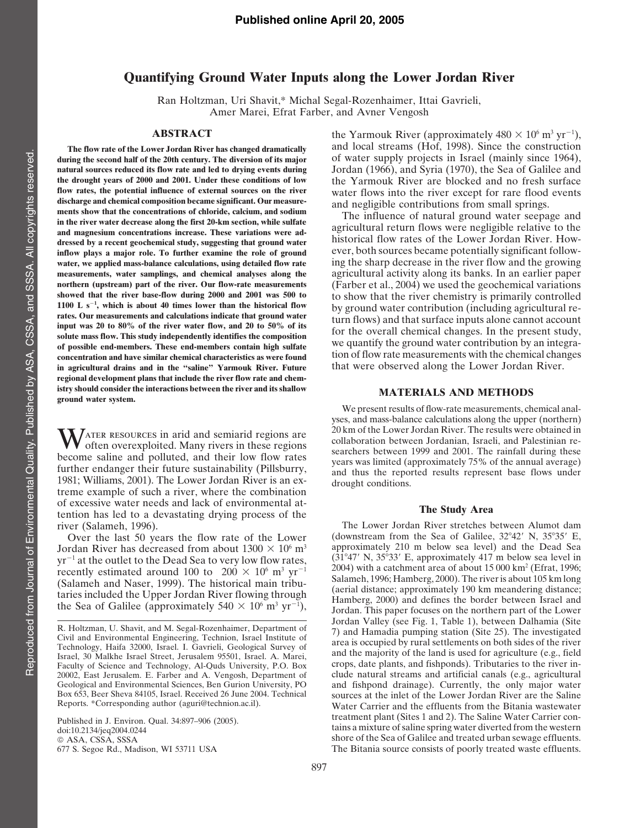# **Quantifying Ground Water Inputs along the Lower Jordan River**

Ran Holtzman, Uri Shavit,\* Michal Segal-Rozenhaimer, Ittai Gavrieli, Amer Marei, Efrat Farber, and Avner Vengosh

**during** the second half of the 20th century. The diversion of its major discharge and chemical composition became significant. Our measure-<br>
ments show that the concentrations of chloride, calcium, and sodium<br>
in the river water decrease along the first 20-km section, while sulfate<br>
and magnes **water,** we applied mass-balance calculations, using detailed flow rate 1100 L  $s^{-1}$ , which is about 40 times lower than the historical flow **in agricultural drains and in the "saline" Yarmouk River. Future** that were observed along the Lower Jordan River. **regional development plans that include the river flow rate and chem**istry should consider the interactions between the river and its shallow MATERIALS AND METHODS ground water system.

1981; Williams, 2001). The Lower Jordan River is an ex-<br>drought conditions. treme example of such a river, where the combination of excessive water needs and lack of environmental at- **The Study Area** tention has led to <sup>a</sup> devastating drying process of the

Over the last 50 years the flow rate of the Lower

**ABSTRACT** the Yarmouk River (approximately  $480 \times 10^6$  m<sup>3</sup> yr<sup>-1</sup>), **The flow rate of the Lower Jordan River has changed dramatically** and local streams (Hof, 1998). Since the construction **natural sources reduced its flow rate and led to drying events during** Jordan (1966), and Syria (1970), the Sea of Galilee and **the drought years of 2000 and 2001. Under these conditions of low** the Yarmouk River are blocked and no fresh surface **flow rates, the potential influence of external sources on the river<br><b>discharge** and chemical composition became significant. Our measure-<br>and negligible contributions from small springs

dressed by a recent geochemical study, suggesting that ground water<br>inflow plays a major role. To further examine the role of ground<br>water, both sources became potentially significant follow-<br>water, we annlied mass-halance **measurements, water samplings, and chemical analyses along the** agricultural activity along its banks. In an earlier paper northern (upstream) part of the river. Our flow-rate measurements (Farber et al. 2004) we used the **northern** (upstream) part of the river. Our flow-rate measurements (Farber et al., 2004) we used the geochemical variations showed that the river base-flow during 2000 and 2001 was 500 to the show that the river chemistry **showed that the river base-flow during 2000 and 2001 was 500 to** to show that the river chemistry is primarily controlled **, which is about <sup>40</sup> times lower than the historical flow** by ground water contribution (including agricultural rerates. Our measurements and calculations indicate that ground water<br>input was 20 to 80% of the river water flow, and 20 to 50% of its<br>solute mass flow. This study independently identifies the composition for the overall ch we quantify the ground water contribution by an integra- **of possible end-members. These end-members contain high sulfate** tion of flow rate measurements with the chemical changes **concentration and have similar chemical characteristics as were found**

We present results of flow-rate measurements, chemical analyses, and mass-balance calculations along the upper (northern) WATER RESOURCES in arid and semiarid regions are<br>become saline and polluted, and their low flow rates<br>further endanger their future sustainability (Pillsburry,<br>further endanger their future sustainability (Pillsburry,<br>and

river (Salameh, 1996).<br>
Over the last 50 years the flow rate of the Lower (downstream from the Sea of Galilee, 32°42′ N, 35°35′ E, Jordan River has decreased from about  $1300 \times 10^6$  m<sup>3</sup> approximately 210 m below sea level) and the Dead Sea  $\text{yr}^{-1}$  at the outlet to the Dead Sea to very low flow rates  $(31^{\circ}47'$  N,  $35^{\circ}33'$  E, approximately 4 yr<sup>-1</sup> at the outlet to the Dead Sea to very low flow rates,<br>recently estimated around 100 to 200 × 10<sup>6</sup> m<sup>3</sup> yr<sup>-1</sup> 2004) with a catchment area of about 15 000 km<sup>2</sup> (Efrat, 1996;<br>(Salameh and Naser, 1999). The historic taries included the Upper Jordan River flowing through (aerial distance; approximately 190 km meandering distance;<br>taries included the Upper Jordan River flowing through Hamberg, 2000) and defines the border between Israe Jordan. This paper focuses on the northern part of the Lower Jordan Valley (see Fig. 1, Table 1), between Dalhamia (Site R. Holtzman, U. Shavit, and M. Segal-Rozenhaimer, Department of<br>Civil and Environmental Engineering, Technion, Israel Institute of<br>Technology, Haifa 32000, Israel. I. Gavrieli, Geological Survey of<br>Israel, 30 Malkhe Israel 20002, East Jerusalem. E. Farber and A. Vengosh, Department of clude natural streams and artificial canals (e.g., agricultural Geological and Environmental Sciences, Ben Gurion University, PO and fishpond drainage). Currently, the only major water<br>Box 653, Beer Sheva 84105, Israel. Received 26 June 2004. Technical sources at the inlet of the Lower Box 653, Beer Sheva 84105, Israel. Received 26 June 2004. Technical sources at the inlet of the Lower Jordan River are the Saline<br>Reports. \*Corresponding author (aguri@technion.ac.il). Water Carrier and the effluents from Water Carrier and the effluents from the Bitania wastewater treatment plant (Sites 1 and 2). The Saline Water Carrier con- Published in J. Environ. Qual. 34:897–906 (2005). doi:10.2134/jeq2004.0244 tains a mixture ofsaline spring water diverted from the western © ASA, CSSA, SSSA shore of the Sea of Galilee and treated urban sewage effluents.<br>
677 S. Segoe Rd., Madison, WI 53711 USA The Bitania source consists of poorly treated waste effluents. The Bitania source consists of poorly treated waste effluents.

Faculty of Science and Technology, Al-Quds University, P.O. Box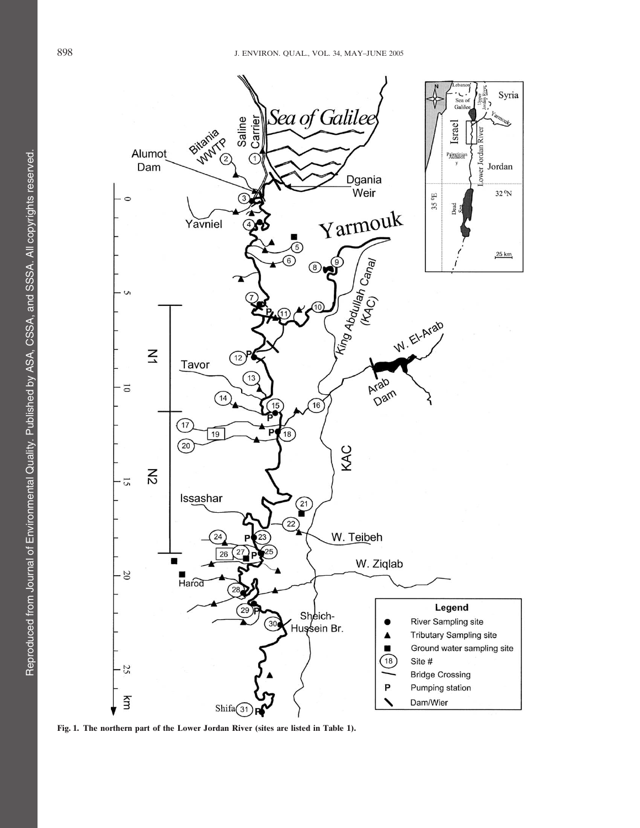

**Fig. 1. The northern part of the Lower Jordan River (sites are listed in Table 1).**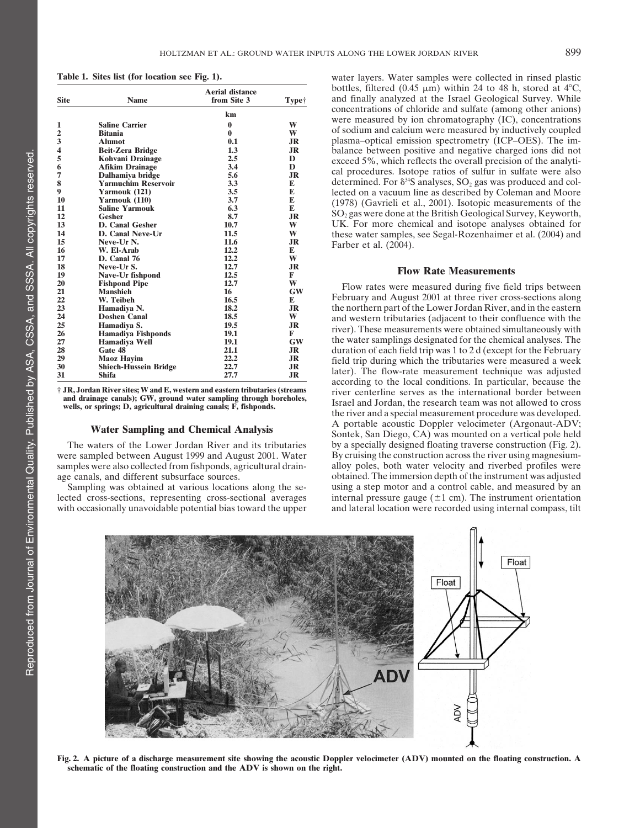| Site | <b>Name</b>                  | <b>Aerial distance</b><br>from Site 3 | Type†     |  |
|------|------------------------------|---------------------------------------|-----------|--|
|      |                              | km                                    |           |  |
| 1    | <b>Saline Carrier</b>        | $\bf{0}$                              | W         |  |
| 2    | <b>Bitania</b>               | $\bf{0}$                              | W         |  |
| 3    | <b>Alumot</b>                | 0.1                                   | JR        |  |
| 4    | <b>Beit-Zera Bridge</b>      | 1.3                                   | <b>JR</b> |  |
| 5    | Kohvani Drainage             | 2.5                                   | D         |  |
| 6    | <b>Afikim Drainage</b>       | 3.4                                   | D         |  |
| 7    | Dalhamiya bridge             | 5.6                                   | <b>JR</b> |  |
| 8    | <b>Yarmuchim Reservoir</b>   | 3.3                                   | E         |  |
| 9    | Yarmouk (121)                | 3.5                                   | E         |  |
| 10   | Yarmouk (110)                | 3.7                                   | E         |  |
| 11   | <b>Saline Yarmouk</b>        | 6.3                                   | E         |  |
| 12   | Gesher                       | 8.7                                   | <b>JR</b> |  |
| 13   | <b>D. Canal Gesher</b>       | 10.7                                  | W         |  |
| 14   | D. Canal Neve-Ur             | 11.5                                  | W         |  |
| 15   | Neve-Ur N.                   | 11.6                                  | JR        |  |
| 16   | W. El-Arab                   | 12.2                                  | E         |  |
| 17   | D. Canal 76                  | 12.2                                  | W         |  |
| 18   | Neve-Ur S.                   | 12.7                                  | <b>JR</b> |  |
| 19   | Nave-Ur fishpond             | 12.5                                  | F         |  |
| 20   | <b>Fishpond Pipe</b>         | 12.7                                  | W         |  |
| 21   | <b>Manshieh</b>              | 16                                    | GW        |  |
| 22   | W. Teibeh                    | 16.5                                  | E         |  |
| 23   | Hamadiya N.                  | 18.2                                  | <b>JR</b> |  |
| 24   | <b>Doshen Canal</b>          | 18.5                                  | W         |  |
| 25   | Hamadiya S.                  | 19.5                                  | <b>JR</b> |  |
| 26   | <b>Hamadiya Fishponds</b>    | 19.1                                  | F         |  |
| 27   | Hamadiya Well                | 19.1                                  | GW        |  |
| 28   | Gate 48                      | 21.1                                  | JR        |  |
| 29   | <b>Maoz Hayim</b>            | 22.2                                  | JR        |  |
| 30   | <b>Shiech-Hussein Bridge</b> | 22.7                                  | <b>JR</b> |  |
| 31   | <b>Shifa</b>                 | 27.7                                  | <b>JR</b> |  |

were sampled between August 1999 and August 2001. Water

**Table 1. Sites list (for location see Fig. 1).** water layers. Water samples were collected in rinsed plastic bottles, filtered (0.45  $\mu$ m) within 24 to 48 h, stored at 4<sup>o</sup>C, and finally analyzed at the Israel Geological Survey. While concentrations of chloride and sulfate (among other anions) were measured by ion chromatography (IC), concentrations<br>of sodium and calcium were measured by inductively coupled **plasma–optical emission spectrometry (ICP–OES). The imbalance between positive and negative charged ions did not** exceed 5%, which reflects the overall precision of the analytical procedures. Isotope ratios of sulfur in sulfate were also determined. For  $\delta^{34}S$  analyses, SO<sub>2</sub> gas was produced and collected on a vacuum line as described by Coleman and Moore (1978) (Gavrieli et al., 2001). Isotopic measurements of the  $SO_2$  gas were done at the British Geological Survey, Keyworth, **UK.** For more chemical and isotope analyses obtained for **these water samples, see Segal-Rozenhaimer et al. (2004) and 15** Farber et al. (2004).

## **18 18.1 C C Rate Measurements**

**Plow rates were measured during five field trips between** February and August 2001 at three river cross-sections along **23 Hamadiya N. 18.2 JR** the northern part of the Lower Jordan River, and in the eastern **24 Doshen Canal 18.5 W** and western tributaries (adjacent to their confluence with the **15 h Example 2 Phase measurements were obtained simultaneously with** the water samplings designated for the chemical analyses. The duration of each field trip was 1 to 2 d (except for the February field trip during which the tributaries were measured a week **12 Shield-Bridge 22.7 C Bridge 22.8 Shifa 2 Bridge 22.8 Shifa 2 Shifa 2 Bridge 2 Bridge 2 Bridge 3 C Bridge 2 Bridge 2 C Bridge 2 C C C C C C C C C** according to the local conditions. In particular, because the F JR, Jordan River sites; W and E, western and eastern tributaries (streams<br>and drainage canals); GW, ground water sampling through boreholes,<br>wells, or springs; D, agricultural draining canals; F, fishponds.<br>the river and **Water Sampling and Chemical Analysis** A portable acoustic Doppler velocimeter (Argonaut-ADV; Sontek, San Diego, CA) was mounted on a vertical pole held The waters of the Lower Jordan River and its tributaries by a specially designed floating traverse construction (Fig. 2).<br>
In the sampled between August 1999 and August 2001. Water By cruising the construction across the r samples were also collected from fishponds, agricultural drain-<br>alloy poles, both water velocity and riverbed profiles were age canals, and different subsurface sources.  $\blacksquare$  obtained. The immersion depth of the instrument was adjusted Sampling was obtained at various locations along the se- using a step motor and a control cable, and measured by an lected cross-sections, representing cross-sectional averages internal pressure gauge  $(\pm 1 \text{ cm})$ . The instrument orientation with occasionally unavoidable potential bias toward the upper and lateral location were recorded using internal compass, tilt



Fig. 2. A picture of a discharge measurement site showing the acoustic Doppler velocimeter (ADV) mounted on the floating construction. A **schematic of the floating construction and the ADV is shown on the right.**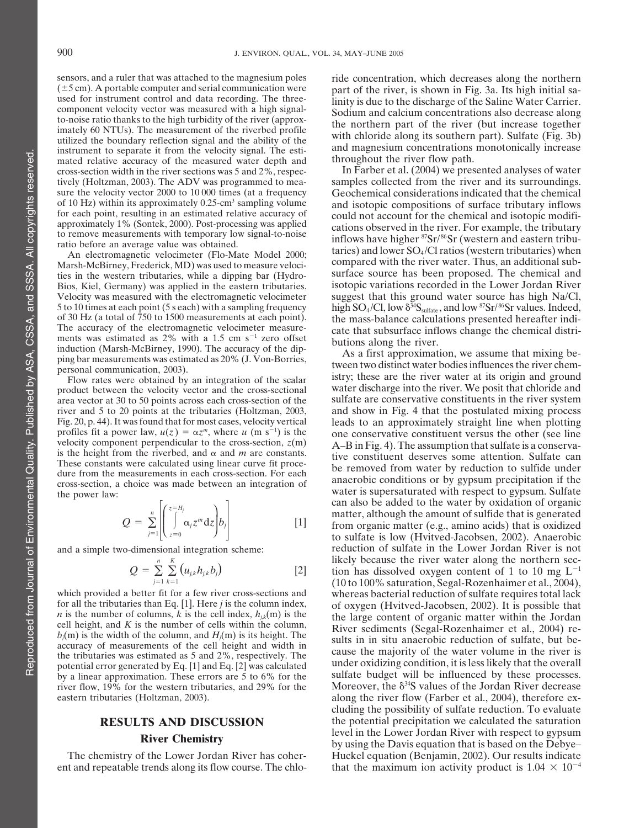sensors, and a ruler that was attached to the magnesium poles ride concentration, which decreases along the northern  $(\pm 5 \text{ cm})$ . A portable computer and serial communication were part of the river is shown in Fig. 3a. It component velocity vector was measured with a high signal-<br>to-noise ratio thanks to the high turbidity of the river (approx-<br>imately 60 NTUs). The measurement of the riverbed profile<br>utilized the boundary reflection signal mated relative accuracy of the measured water depth and<br>cross-section width in the river sections was 5 and 2%, respec-<br>In Farber et al. (2004) we presented analyses of water cross-section width in the river sections was 5 and  $2\%$ , respectively (Holtzman, 2003). The ADV was programmed to mea- samples collected from the river and its surroundings. sure the velocity vector 2000 to 10 000 times (at a frequency Geochemical considerations indicated that the chemical<br>of 10 Hz) within its approximately 0.25-cm<sup>3</sup> sampling volume and isotopic compositions of surface tribut of 10 Hz) within its approximately 0.25-cm<sup>3</sup> sampling volume and isotopic compositions of surface tributary inflows for each point, resulting in an estimated relative accuracy of could not account for the chemical and iso

ties in the western tributaries, while a dipping bar (Hydro-

area vector at 30 to 50 points across each cross-section of the profiles fit a power law,  $u(z) = \alpha z^m$ , where *u* (m s<sup>-1</sup>) is the velocity component perpendicular to the cross-section,  $z(m)$ 

$$
Q = \sum_{j=1}^{n} \left| \left( \int_{z=0}^{z=H_j} \alpha_j z^m \, dz \right) b_j \right| \tag{1}
$$

$$
Q = \sum_{j=1}^{n} \sum_{k=1}^{K} (u_{j,k} h_{j,k} b_j)
$$
 [2]

accuracy of measurements of the cell height and width in

ent and repeatable trends along its flow course. The chlo- that the maximum ion activity product is  $1.04 \times 10^{-4}$ 

 $(\pm 5 \text{ cm})$ . A portable computer and serial communication were part of the river, is shown in Fig. 3a. Its high initial sa-<br>used for instrument control and data recording. The three-<br>inity is due to the discharge of the S used for instrument control and data recording. The three-<br>component velocity vector was measured with a high signal-<br>Sodium and calcium concentrations also decrease along

for each point, resulting in an estimated relative accuracy of<br>approximately 1% (Sontek, 2000). Post-processing was applied<br>to remove measurements with temporary low signal-to-noise<br>ratio before an average value was obtai An electromagnetic velocimeter (Flo-Mate Model 2000;<br>Marsh-McBirney, Frederick, MD) was used to measure velocically compared with the river water. Thus, an additional sub-<br>ties in the western tributaries while a dinning ba Bios, Kiel, Germany) was applied in the eastern tributaries. isotopic variations recorded in the Lower Jordan River Velocity was measured with the electromagnetic velocimeter suggest that this ground water source has high Na/Cl, 5 to 10 times at each point (5 s each) with a sampling frequency high  $SO_4/Cl$ , low  $\delta^{34}S_{\text{sulfate}}$ , and low  ${}^{87}Sr/{}^{86}Sr$  values. Indeed, of 30 Hz (a total of 750 to 1500 measurements at each point). the mass-balance The accuracy of the electromagnetic velocimeter measure-<br>cate that subsurface inflows change the chemical distri-

ments was estimated as 2% with a 1.5 cm s<sup>-1</sup> zero offset<br>induction (Marsh-McBirney, 1990). The accuracy of the dip-<br>ping bar measurements was estimated as 20% (J. Von-Borries,<br>personal communication, 2003).<br>Flow rates wer product between the velocity vector and the cross-sectional water discharge into the river. We posit that chloride and area vector at 30 to 50 points across each cross-section of the sulfate are conservative constituents i river and 5 to 20 points at the tributaries (Holtzman, 2003, and show in Fig. 4 that the postulated mixing process Fig. 20, p. 44). It was found that for most cases, velocity vertical leads to an approximately straight line when plotting one conservative constituent versus the other (see line velocity component perpendicular to the cross-section,  $z(m)$   $A-B$  in Fig. 4). The assumption that sulfate is a conserva-<br>is the height from the riverbed, and  $\alpha$  and  $m$  are constants. Is the neight from the riverbed, and  $\alpha$  and  $m$  are constants.<br>These constants were calculated using linear curve fit proce-<br>dure from the measurements in each cross-section. For each<br>cross-section, a choice was made be water is supersaturated with respect to gypsum. Sulfate the power law: can also be added to the water by oxidation of organic  $Q = \sum_{i=1}^{n} \left| \int_{-\infty}^{\infty} \alpha_i z^m dz \right| b_i$  [1] matter, although the amount of sulfide that is generated from organic matter (e.g., amino acids) that is oxidized to sulfate is low (Hvitved-Jacobsen, 2002). Anaerobic and a simple two-dimensional integration scheme: reduction of sulfate in the Lower Jordan River is not likely because the river water along the northern section has dissolved oxygen content of 1 to 10 mg  $L^{-1}$ (10 to 100% saturation, Segal-Rozenhaimer et al., 2004), which provided a better fit for a few river cross-sections and whereas bacterial reduction of sulfate requires total lack<br>for all the tributaries than Eq. [1]. Here *j* is the column index, of oxygen (Hvitved-Jacobsen, 200 for all the tributaries than Eq. [1]. Here *j* is the column index,<br> *n* is the number of columns, *k* is the cell index,  $h_{jk}(m)$  is the<br>
the large content of organic matter within the Jordan<br>
cell height, and *K* is the  $b_j(m)$  is the width of the column, and  $H_j(m)$  is its height. The sults in in situ and appropriate real and  $b_j(m)$  is the width of the column, and  $H_j(m)$  is its height. The sults in in situ and appropriate reduction of sul cause the majority of the water volume in the river is the tributaries was estimated as <sup>5</sup> and 2%, respectively. The potential error generated by Eq. [1] and Eq. [2] was calculated under oxidizing condition, it is less likely that the overall by a linear approximation. These errors are  $\frac{2}{5}$  to 6% for the sulfate budget will be influenced by these processes. river flow,  $19\%$  for the western tributaries, and 29% for the Moreover, the  $\delta^{34}S$  values of the Jordan River decrease eastern tributaries (Holtzman, 2003). along the river flow (Farber et al., 2004), therefore excluding the possibility of sulfate reduction. To evaluate **RESULTS AND DISCUSSION** the potential precipitation we calculated the saturation level in the Lower Jordan River with respect to gypsum **River Chemistry River Chemistry Chemistry Chemistry Chemistry Chemistry Chemistry Chemistry Chemistry Chemistry Chemistry Chemistry Chemistry Chemistry Chemistry Chemistry Chemistry Che** The chemistry of the Lower Jordan River has coher- Huckel equation (Benjamin, 2002). Our results indicate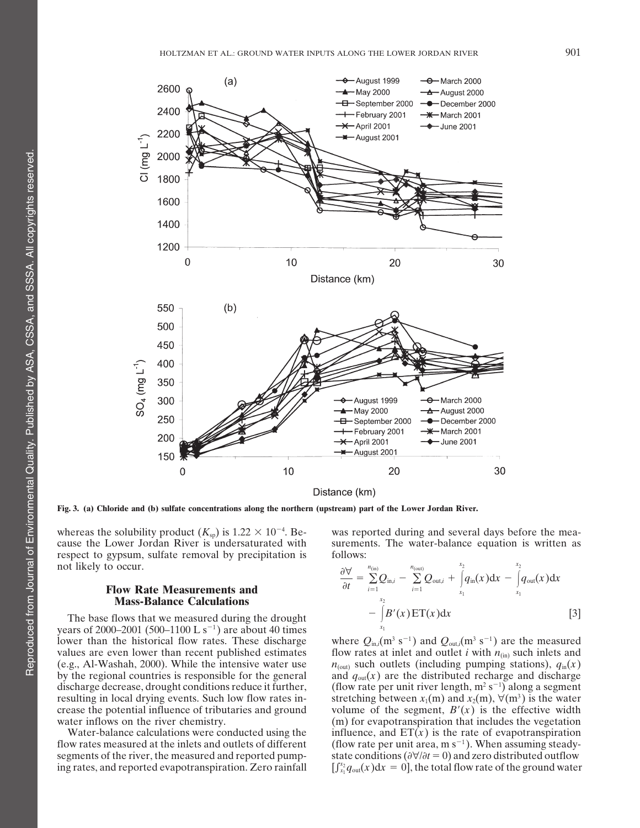

Fig. 3. (a) Chloride and (b) sulfate concentrations along the northern (upstream) part of the Lower Jordan River.

whereas the solubility product  $(K_{sp})$  is  $1.22 \times 10^{-4}$ . Because the Lower Jordan River is undersaturated with surements. The water-balance equation is written as respect to gypsum, sulfate removal by precipitation is follows: not likely to occur.

## **Flow Rate Measurements and Mass-Balance Calculations**

The base flows that we measured during the drought years of 2000–2001 (500–1100 L s<sup>-1</sup>) are about 40 times lower than the historical flow rates. These discharge where  $Q_{\text{in},i}(\text{m}^3 \text{ s}^{-1})$  and  $Q_{\text{out},i}(\text{m}^3 \text{ s}^{-1})$  are the measured values are even lower than recent published estimates flow rates at inlet and outlet *i* with  $n_{(in)}$  such inlets and (e.g., Al-Washah, 2000). While the intensive water use  $n_{(out)}$  such outlets (including pumping stations),  $q_{in}(x)$ by the regional countries is responsible for the general and  $q_{\text{out}}(x)$  are the distributed recharge and discharge discharge decrease, drought conditions reduce it further, resulting in local drying events. Such low flow rates in-<br>stretching between  $x_1(m)$  and  $x_2(m)$ ,  $\forall (m^3)$  is the water crease the potential influence of tributaries and ground volume of the segment,  $B'(x)$  is the effective width water inflows on the river chemistry. (m) for evapotranspiration that includes the vegetation

segments of the river, the measured and reported pump-<br>state conditions ( $\frac{\partial \forall}{\partial t} = 0$ ) and zero distributed outflow ing rates, and reported evapotranspiration. Zero rainfall  $\int_{x_1}^{x_2} q_{out}(x) dx = 0$ , the total flow rate of the ground water

was reported during and several days before the mea-

$$
\frac{\partial \forall}{\partial t} = \sum_{i=1}^{n_{\text{(in)}}} Q_{\text{in},i} - \sum_{i=1}^{n_{\text{(out)}}} Q_{\text{out},i} + \int_{x_1}^{x_2} q_{\text{in}}(x) dx - \int_{x_1}^{x_2} q_{\text{out}}(x) dx \n- \int_{x_1}^{x_2} B'(x) ET(x) dx
$$
\n[3]

(flow rate per unit river length,  $m^2 s^{-1}$ ) along a segment Water-balance calculations were conducted using the influence, and  $ET(x)$  is the rate of evapotranspiration flow rates measured at the inlets and outlets of different (flow rate per unit area, m  $s^{-1}$ ). When assuming steady-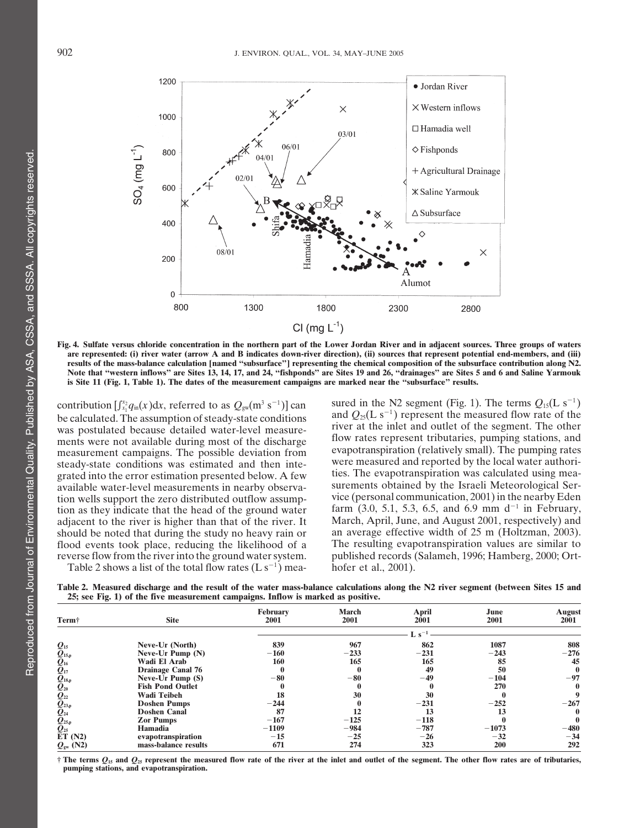

Fig. 4. Sulfate versus chloride concentration in the northern part of the Lower Jordan River and in adjacent sources. Three groups of waters are represented: (i) river water (arrow A and B indicates down-river direction), (ii) sources that represent potential end-members, and (iii) results of the mass-balance calculation [named "subsurface"] representing the chemical composition of the subsurface contribution along N2. Note that "western inflows" are Sites 13, 14, 17, and 24, "fishponds" are Sites 19 and 26, "drainages" are Sites 5 and 6 and Saline Yarmouk is Site 11 (Fig. 1, Table 1). The dates of the measurement campaigns are marked near the "subsurface" results.

tion wells support the zero distributed outflow assumpflood events took place, reducing the likelihood of a

Table 2 shows a list of the total flow rates  $(L s^{-1})$  mea- hofer et al., 2001).

contribution  $\left[\int_{x_1}^{x_2} q_{in}(x) dx\right]$ , referred to as  $Q_{gw}(m^3 s^{-1})$  can sured in the N2 segment (Fig. 1). The terms  $Q_{15}(L s^{-1})$ be calculated. The assumption of steady-state conditions and  $Q_{25}(L \text{ s}^{-1})$  represent the measured flow rate of the beginners was postulated. The assumption of steady-state conditions was postulated. The other was postulated because detailed water-level measure-<br>ments were not available during most of the discharge flow rates represent tributaries, pumping stations, and ments were not available during most of the discharge illuminates represent tributaries, pumping stations, and no<br>measurement campaigns. The possible deviation from evapotranspiration (relatively small). The pumping rates measurement campaigns. The possible deviation from evapotranspiration (relatively small). The pumping rates exactly small). The pumping rates can expect the possible deviation from exactly were measured and reported by the steady-state conditions was estimated and then inte-<br>grated into the error estimation presented below. A few ties. The evapotranspiration was calculated using meagrated into the error estimation presented below. A few the evapotranspiration was calculated using mea-<br>available water-level measurements in nearby observa-<br>surements obtained by the Israeli Meteorological Seravailable water-level measurements in nearby observa-<br>tion wells support the zero distributed outflow assump-<br>vice (personal communication, 2001) in the nearby Eden tion as they indicate that the head of the ground water farm  $(3.0, 5.1, 5.3, 6.5,$  and 6.9 mm d<sup>-1</sup> in February, adiacent to the river is higher than that of the river. It March, April, June, and August 2001, respectivel adjacent to the river is higher than that of the river. It March, April, June, and August 2001, respectively) and<br>should be noted that during the study no heavy rain or an average effective width of 25 m (Holtzman, 2003). should be noted that during the study no heavy rain or an average effective width of 25 m (Holtzman, 2003).<br>flood events took place, reducing the likelihood of a The resulting evapotranspiration values are similar to reverse flow from the riverinto the ground watersystem. published records (Salameh, 1996; Hamberg, 2000; Ort-

Table 2. Measured discharge and the result of the water mass-balance calculations along the N2 river segment (between Sites 15 and **25; see Fig. 1) of the five measurement campaigns. Inflow is marked as positive.**

| Term†                                                                                                                                                                               | <b>Site</b>              | February<br>2001 | <b>March</b><br>2001 | <b>April</b><br>2001 | June<br>2001 | August<br>2001 |
|-------------------------------------------------------------------------------------------------------------------------------------------------------------------------------------|--------------------------|------------------|----------------------|----------------------|--------------|----------------|
|                                                                                                                                                                                     |                          |                  |                      |                      |              |                |
|                                                                                                                                                                                     | Neve-Ur (North)          | 839              | 967                  | 862                  | 1087         | 808            |
| $Q_{15} \over 2^{15,p} \over 2^{16} \over 2^{16} \over 2^{18,p} \over 2^{20} \over 2^{23,p} \over 2^{23,p} \over 2^{25,p} \over 2^{25,p} \over 2^{25,p} \over 2^{25} \over 2^{25}}$ | Neve-Ur Pump (N)         | $-160$           | $-233$               | $-231$               | $-243$       | $-276$         |
|                                                                                                                                                                                     | Wadi El Arab             | 160              | 165                  | 165                  | 85           | 45             |
|                                                                                                                                                                                     | <b>Drainage Canal 76</b> |                  |                      | 49                   | 50           | $\mathbf{0}$   |
|                                                                                                                                                                                     | Neve-Ur Pump (S)         | $-80$            | $-80$                | $-49$                | $-104$       | $-97$          |
|                                                                                                                                                                                     | <b>Fish Pond Outlet</b>  |                  |                      |                      | 270          | 0              |
|                                                                                                                                                                                     | <b>Wadi Teibeh</b>       | 18               | 30                   | 30                   |              | 9              |
|                                                                                                                                                                                     | <b>Doshen Pumps</b>      | $-244$           |                      | $-231$               | $-252$       | $-267$         |
|                                                                                                                                                                                     | <b>Doshen Canal</b>      | 87               |                      | 13                   | 13           | $\mathbf{0}$   |
|                                                                                                                                                                                     | <b>Zor Pumps</b>         | $-167$           | $-125$               | $-118$               |              | 0              |
|                                                                                                                                                                                     | <b>Hamadia</b>           | $-1109$          | $-984$               | $-787$               | $-1073$      | $-480$         |
| ET(N2)                                                                                                                                                                              | evapotranspiration       | $-15$            | $-25$                | $-26$                | $-32$        | $-34$          |
| $Q_{\rm gw}$ (N2)                                                                                                                                                                   | mass-balance results     | 671              | 274                  | 323                  | <b>200</b>   | 292            |

 $\dagger$  The terms  $Q_{15}$  and  $Q_{25}$  represent the measured flow rate of the river at the inlet and outlet of the segment. The other flow rates are of tributaries, **pumping stations, and evapotranspiration.**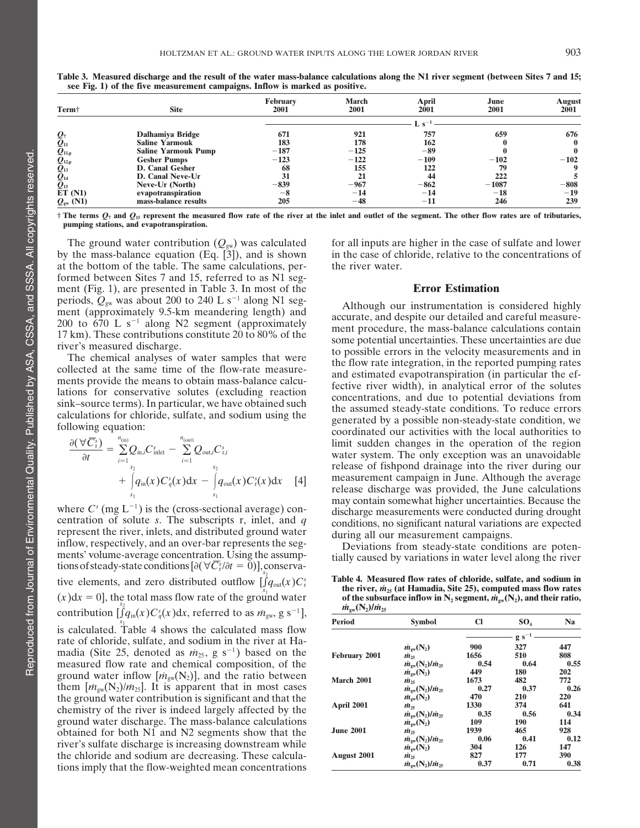| Term <sup>+</sup>                                                                                    | <b>Site</b>                | <b>February</b><br>2001            | <b>March</b><br>2001 | April<br>2001     | June<br>2001 | August<br>2001 |  |
|------------------------------------------------------------------------------------------------------|----------------------------|------------------------------------|----------------------|-------------------|--------------|----------------|--|
|                                                                                                      |                            | $\mathbf{I} \cdot \mathbf{e}^{-1}$ |                      |                   |              |                |  |
|                                                                                                      | Dalhamiya Bridge           | 671                                | 921                  | 757               | 659          | 676            |  |
| $\overline{\mathcal{Q}}_{11}$                                                                        | <b>Saline Yarmouk</b>      | 183                                | 178                  | 162               |              | $\mathbf{0}$   |  |
|                                                                                                      | <b>Saline Yarmouk Pump</b> | $-187$                             | $-125$               | -89               |              |                |  |
| $\bar{\mathcal{Q}}_{11,\mathfrak{p}} \ \bar{\mathcal{Q}}_{12,\mathfrak{p}} \ \bar{\mathcal{Q}}_{13}$ | <b>Gesher Pumps</b>        | $-123$                             | $-122$               | $-109$            | $-102$       | $-102$         |  |
|                                                                                                      | <b>D. Canal Gesher</b>     | 68                                 | 155                  | 122               | 79           | 9              |  |
| $\bar{\bm{\varrho}}_{\scriptscriptstyle{14}}$                                                        | D. Canal Neve-Ur           | 31                                 | 21                   | 44                | 222          |                |  |
| $\boldsymbol{\varrho}_{\scriptscriptstyle 15}$                                                       | Neve-Ur (North)            | $-839$                             | $-967$               | $-862$            | $-1087$      | $-808$         |  |
| ET(N1)                                                                                               | evapotranspiration         | $-8$                               | $-14$                | $-14$             | $-18$        | $-19$          |  |
| $Q_{\rm gw}$ (N1)                                                                                    | mass-balance results       | 205                                | $-48$                | $^{\mathrm{-11}}$ | 246          | 239            |  |

Table 3. Measured discharge and the result of the water mass-balance calculations along the N1 river segment (between Sites 7 and 15; **see Fig. 1) of the five measurement campaigns. Inflow is marked as positive.**

 $\dagger$  The terms  $Q_7$  and  $Q_{15}$  represent the measured flow rate of the river at the inlet and outlet of the segment. The other flow rates are of tributaries, pumping stations, and evapotranspiration.

by the mass-balance equation (Eq.  $\left[3\right]$ ), and is shown at the bottom of the table. The same calculations, per- the river water. formed between Sites 7 and 15, referred to as N1 segment (Fig. 1), are presented in Table 3. In most of the **Error Estimation** periods,  $Q_{gw}$  was about 200 to 240 L s<sup>-1</sup> along N1 seg-<br>ment (approximately 9.5-km meandering length) and<br>200 to 670 L s<sup>-1</sup> along N2 segment (approximately<br>17 km). These contributions constitute 20 to 80% of the<br>some

$$
\frac{\partial(\forall \overline{C}_{r}^{s})}{\partial t} = \sum_{i=1}^{n_{\text{(in)}}} Q_{\text{in},i} C_{\text{inlet}}^{s} - \sum_{i=1}^{n_{\text{(out)}}} Q_{\text{out},i} C_{r,i}^{s} \n+ \int_{x_{1}}^{x_{2}} q_{\text{in}}(x) C_{q}^{s}(x) dx - \int_{x_{1}}^{x_{2}} q_{\text{out}}(x) C_{r}^{s}(x) dx \quad [4]
$$

centration of solute *s*. The subscripts r, inlet, and *q* conditions, no significant natural variations are expected<br>represent the river, inlets, and distributed ground water during all our measurement campaions represent the river, inlets, and distributed ground water during all our measurement campaigns.<br>inflow, respectively, and an over-bar represents the seg-<br>ments' volume-average concentration. Using the assump-<br>tially caused tions of steady-state conditions  $[\partial(\forall \overline{C_i}^s/\partial t = 0)]$ , conservative elements, and zero distributed outflow  $\int_{Y_{x_2}}^{Y_{x_2}}$  Table 4. Measured flow rates of chloride, sulfate, and sodium in contribution  $\left[\int_{a}^{x_2} q_{\rm in}(x) C_q^s(x) dx\right]$ , referred to as  $m_{\rm gw}$ , g s<sup>-1</sup>],  $\frac{m_{\rm gw}(N_2)/m_{\rm 25}}{m_{\rm gw}(N_2)}$ is calculated. Table 4 shows the calculated mass flow rate of chloride, sulfate, and sodium in the river at Ha-<br>madia (Site 25, denoted as  $\dot{m}_{25}$ , g s<sup>-1</sup>) based on the measured flow rate and chemical composition, of the ground water inflow  $[m_{gw}(N_2)]$ , and the ratio between<br>them  $[m_{gw}(N_2)/m_{25}]$ . It is apparent that in most cases  $\mu$ *m* the ground water contribution is significant and that the **2231 2003 2003 2003 2003 2003 2003 2003 2003 2003 2003 2003 2003 2003 2003 2003 2003 2003 2003 2003 2003 2003 2003 2003 2003 2003 2003 2003 2003 2003 2003 2003** ground water discharge. The mass-balance calculations obtained for both N1 and N2 segments show that the river's sulfate discharge is increasing downstream while the chloride and sodium are decreasing. These calcula- **August 2001** *m˙* **<sup>25</sup> 827 177 390 tions imply that the flow-weighted mean concentrations** 

The ground water contribution  $(Q_{gw})$  was calculated for all inputs are higher in the case of sulfate and lower the mass-balance equation (Eq. [3]), and is shown in the case of chloride, relative to the concentrations of

The set contributions constructe 20 to 60 % of the<br>river's measured discharge.<br>The chemical analyses of water samples that were<br>collected at the same time of the flow-rate measure-<br>ments provide the means to obtain mass-ba limit sudden changes in the operation of the region water system. The only exception was an unavoidable release of fishpond drainage into the river during our measurement campaign in June. Although the average release discharge was provided, the June calculations may contain somewhat higher uncertainties. Because the where  $C<sup>s</sup>$  (mg  $L<sup>-1</sup>$ ) is the (cross-sectional average) con-<br>discharge measurements were conducted during drought

tially caused by variations in water level along the river

the river,  $m_{25}$  (at Hamadia, Site 25), computed mass flow rates<br>(x)dx = 0, the total mass flow rate of the ground water of the subsurface inflow in N<sub>2</sub> segment,  $m_{\rm gw}(\mathbf{N}_2)$ , and their ratio, **Table 4.** Measured flow rates of chloride, sulfate, and sodium in the river,  $\dot{m}_{25}$  (at Hamadia, Site 25), computed mass flow rates of the subsurface inflow in  $N_2$  segment,  $\dot{m}_{gw}$ ( $N_2$ ), and their ratio,

| Period               | <b>Symbol</b>                                        | CI   | SO <sub>4</sub>               | N <sub>a</sub> |
|----------------------|------------------------------------------------------|------|-------------------------------|----------------|
|                      |                                                      |      | $\mathbf{g}\ \mathbf{s}^{-1}$ |                |
|                      | $\dot{m}_{\rm ew}$ (N <sub>2</sub> )                 | 900  | 327                           | 447            |
| <b>February 2001</b> | $\dot{m}_{25}$                                       | 1656 | 510                           | 808            |
|                      | $\dot{m}_{\rm ew}$ (N <sub>2</sub> )/ $\dot{m}_{25}$ | 0.54 | 0.64                          | 0.55           |
|                      | $\dot{m}_{\rm sw}(\rm N_2)$                          | 449  | 180                           | 202            |
| March 2001           | $\dot{m}_{25}$                                       | 1673 | 482                           | 772            |
|                      | $\dot{m}_{\rm sw}$ (N <sub>2</sub> )/ $\dot{m}_{25}$ | 0.27 | 0.37                          | 0.26           |
|                      | $\dot{m}_{\rm sw}(\rm N_2)$                          | 470  | 210                           | 220            |
| April 2001           | $\dot{m}_{25}$                                       | 1330 | 374                           | 641            |
|                      | $\dot{m}_{\rm ew}$ (N <sub>2</sub> )/ $\dot{m}_{25}$ | 0.35 | 0.56                          | 0.34           |
|                      | $\dot{m}_{\rm ew}$ (N <sub>2</sub> )                 | 109  | 190                           | 114            |
| <b>June 2001</b>     | $\dot{m}_{25}$                                       | 1939 | 465                           | 928            |
|                      | $\dot{m}_{\rm sw}$ (N <sub>2</sub> )/ $\dot{m}_{25}$ | 0.06 | 0.41                          | 0.12           |
|                      | $\dot{m}_{\rm gw}(\rm N_2)$                          | 304  | 126                           | 147            |
| <b>August 2001</b>   | $\dot{m}_{25}$                                       | 827  | 177                           | 390            |
|                      | $\dot{m}_{\rm ew}$ (N <sub>2</sub> )/ $\dot{m}_{25}$ | 0.37 | 0.71                          | 0.38           |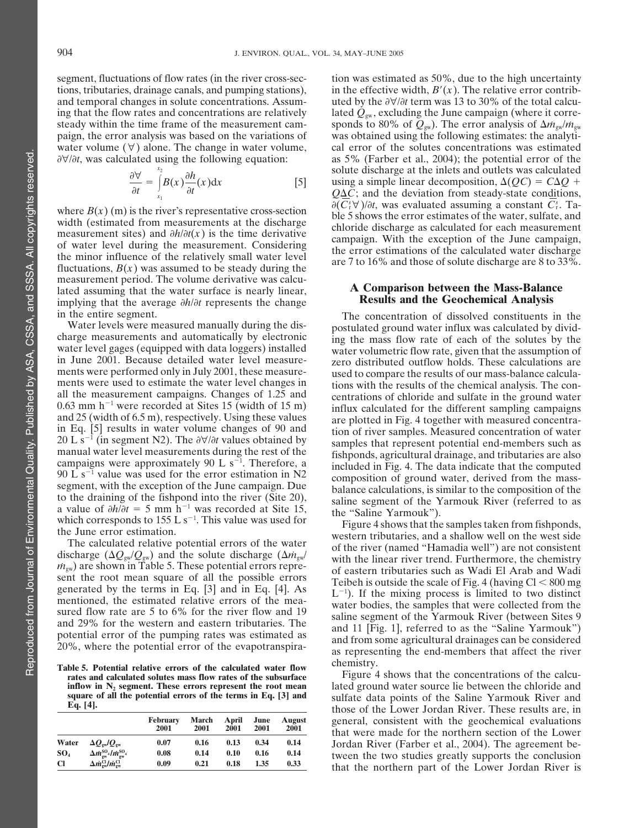segment, fluctuations of flow rates (in the river cross-sec-<br>tion was estimated as 50%, due to the high uncertainty steady within the time frame of the measurement cam-<br>sponds to 80% of  $Q_{gw}$ ). The error analysis of  $\Delta m_{gw}/m_{gw}$ 

$$
\frac{\partial \forall}{\partial t} = \int_{x_1}^{x_2} B(x) \frac{\partial h}{\partial t}(x) dx
$$
 [5]

the minor influence of the relatively small water level the error estimations of the calculated water discharge fluctuations,  $B(x)$  was assumed to be steady during the are 7 to 16% and those of solute discharge are 8 to 3 measurement period. The volume derivative was calculated assuming that the water surface is nearly linear, **A Comparison between the Mass-Balance** implying that the average  $\partial h/\partial t$  represents the change

campaigns were approximately 90 L  $s^{-1}$ . Therefore, a a value of  $\partial h/\partial t = 5$  mm h<sup>-1</sup> was recorded at Site 15, the "Saline Yarmouk").<br>which corresponds to 155 L s<sup>-1</sup>. This value was used for Figure 4 shows that the samples taken from fishponds,

Table 5. Potential relative errors of the calculated water flow chemistry.<br>rates and calculated solutes mass flow rates of the subsurface Figure 4 shows that the concentrations of the calcu-

|                 |                                                                  | February<br>2001 | March<br>2001 | April<br>2001 | June<br>2001 | August<br>2001 |
|-----------------|------------------------------------------------------------------|------------------|---------------|---------------|--------------|----------------|
| Water           | $\Delta O_{\rm sw}/O_{\rm sw}$                                   | 0.07             | 0.16          | 0.13          | 0.34         | 0.14           |
| SO <sub>4</sub> | $\Delta \dot{m}_{\rm gw}^{\rm SO_4}/\dot{m}_{\rm gw}^{\rm SO_4}$ | 0.08             | 0.14          | 0.10          | 0.16         | 0.14           |
| <b>Cl</b>       | $\Delta m_{\rm sw}^{\rm CI} / \dot{m}_{\rm sw}^{\rm CI}$         | 0.09             | 0.21          | 0.18          | 1.35         | 0.33           |

tions, tributaries, drainage canals, and pumping stations), in the effective width,  $B'(x)$ . The relative error contriband temporal changes in solute concentrations. Assum-<br>uted by the  $\frac{\partial \mathbf{v}}{\partial t}$  term was 13 to 30% of the total calcuing that the flow rates and concentrations are relatively lated  $Q_{\rm gw}$ , excluding the June campaign (where it correpaign, the error analysis was based on the variations of was obtained using the following estimates: the analytiwater volume  $(\forall)$  alone. The change in water volume, cal error of the solutes concentrations was estimated ∂∀/∂t, was calculated using the following equation: as 5% (Farber et al., 2004); the potential error of the solute discharge at the inlets and outlets was calculated using a simple linear decomposition,  $\Delta (OC) = C \Delta O +$  $Q\Delta C$ ; and the deviation from steady-state conditions,  $\partial (C_i^s \forall)/\partial t$ , was evaluated assuming a constant  $C_i^s$ . Tawhere  $B(x)$  (m) is the river's representative cross-section<br>width (estimated from measurements at the discharge<br>measurement sites) and  $\partial h/\partial t(x)$  is the time derivative<br>of water level during the measurement. Considering<br>t

in the entire segment.<br>Water levels were measured manually during the dis-<br>postulated cround water influx was calculated by divid-Water levels were measured manually during the dis-<br>charge measurements and automatically by electronic<br>ing the mass flow rate of each of the solutes by the charge measurements and automatically by electronic ing the mass flow rate of each of the solutes by the water level gages (equipped with data loggers) installed water volumetric flow rate, given that the assumption of water level gages (equipped with data loggers) installed water volumetric flow rate, given that the assumption of in June 2001. Because detailed water level measurein June 2001. Because detailed water level measure-<br>ments were performed only in July 2001, these measure-<br>used to compare the results of our mass-balance calculaments were performed only in July 2001, these measure-<br>ments were used to estimate the water level changes in the results of the chemical analysis. The conments were used to estimate the water level changes in tions with the results of the chemical analysis. The con-<br>all the measurement campaigns. Changes of 1.25 and the contrations of chloride and sulfate in the ground wate all the measurement campaigns. Changes of 1.25 and centrations of chloride and sulfate in the ground water 0.63 mm  $h^{-1}$  were recorded at Sites 15 (width of 15 m) influx calculated for the different sampling campaigns 0.63 mm h  $\degree$  were recorded at Sites 15 (width of 15 m) influx calculated for the different sampling campaigns and 25 (width of 6.5 m), respectively. Using these values are plotted in Fig. 4 together with measured concen in Eq. [5] results in water volume changes of 90 and tion of river samples. Measured concentration of water<br>20 L s<sup>-1</sup> (in segment N2). The  $\partial \forall/\partial t$  values obtained by samples that represent potential end-members such as 20 L s<sup>-1</sup> (in segment N2). The *d*∀/*dt* values obtained by samples that represent potential end-members such as manual water level measurements during the rest of the subsequenting a serioultural drainage and tributarie fishponds, agricultural drainage, and tributaries are also campaigns were approximately 90 L s<sup>-1</sup>. Therefore, a included in Fig. 4. The data indicate that the computed  $\frac{90 \text{ L s}^{-1}}{2 \text{ cm}}$  value was used for the error estimation in N2 segment, with the exception of the June campaign. Due balance calculations, is similar to the composition of the to the draining of the fishpond into the river (Site 20), saline segment of the Varmouk Biver (referred to as saline segment of the Yarmouk River (referred to as

which corresponds to 155 L s<sup>-1</sup>. This value was used for<br>the June error estimation.<br>The calculated relative potential errors of the water<br>discharge  $(\Delta Q_{gw}/Q_{gw})$  and the solute discharge  $(\Delta m_{gw}/m_{gw})$ <br> $m_{gw}$  are shown in T  $m_{gw}$  are shown in Table 5. These potential errors of eastern tributaries such as Wadi El Arab and Wadi sent the root mean square of all the possible errors of the mixing process is limited to two distinct mentioned, the generated by the terms in Eq. [5] and in Eq. [4]. As  $L^{-1}$ . If the mixing process is limited to two distinct<br>mentioned, the estimated relative errors of the mea-<br>sured flow rate are 5 to 6% for the river flow and 19<br>and

**inflow in** N<sub>2</sub> **segment.** These errors represent the root mean lated ground water source lie between the chloride and square of all the potential errors of the terms in Eq. [3] and sulfate data points of the Saline Yarmo **square of all the potential errors of the terms in Eq. [3] and** sulfate data points of the Saline Yarmouk River and **Eq. [4].** those of the Lower Jordan River. These results are, in general, consistent with the geochemical evaluations **<sup>2001</sup> <sup>2001</sup> <sup>2001</sup> <sup>2001</sup> <sup>2001</sup>** that were made for the northern section of the Lower **Jordan River** (Farber et al., 2004). The agreement be-**EXAMPLE 1.14** It is studies greatly supports the conclusion **that the northern part of the Lower Jordan River is**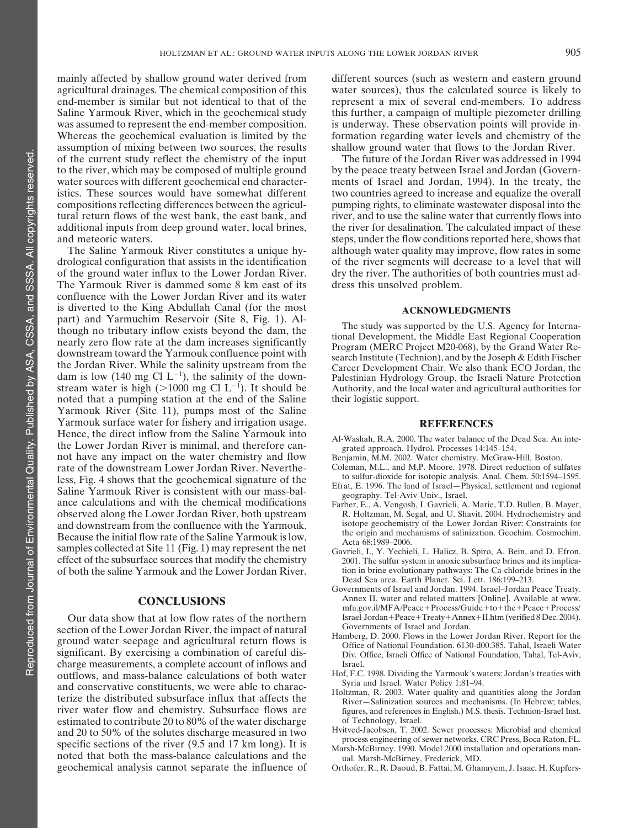mainly affected by shallow ground water derived from different sources (such as western and eastern ground assumption of mixing between two sources, the results shallow ground water that flows to the Jordan River.

The Yarmouk River is dammed some 8 km east of its dress this unsolved problem. confluence with the Lower Jordan River and its water is diverted to the King Abdullah Canal (for the most<br>
part) and Yarmuchim Reservoir (Site 8, Fig. 1). Alparty and Tarmachini Reservoir (ofte 6, 1<sub>1</sub>g. 1). The study was supported by the U.S. Agency for Interna-<br>though no tributary inflow exists beyond the dam, the The study was supported by the U.S. Agency for Interna-<br>nearl dam is low (140 mg Cl  $L^{-1}$ ), the salinity of the downstream water is high ( $>1000$  mg Cl L<sup>-1</sup>). It should be noted that a pumping station at the end of the Saline their logistic support. Yarmouk River (Site 11), pumps most of the Saline Yarmouk surface water for fishery and irrigation usage.<br>Hence, the direct inflow from the Saline Yarmouk into Hence, the direct inflow from the Saline Yarmouk into Al-Washah, R.A. 2000. The water balance of the Dead Sea: An inte-<br>the Lower Jordan River is minimal, and therefore can-<br>grated approach. Hydrol. Processes 14:145–154. not have any impact on the water chemistry and flow Benjamin, M.M. 2002. Water chemistry. McGraw-Hill, Boston. rate of the downstream Lower Jordan River. Neverthe-<br>Less Fig. 4 shows that the geochemical signature of the to sulfur-dioxide for isotopic analysis. Anal. Chem. 50:1594–1595. less, Fig. 4 shows that the geochemical signature of the<br>Saline Yarmouk River is consistent with our mass-bal-<br>Saline Yarmouk River is consistent with our mass-bal-<br>geography. Tel-Aviv Univ., Israel. ance calculations and with the chemical modifications Farber, E., A. Vengosh, I. Gavrieli, A. Marie, T.D. Bullen, B. Mayer,<br>observed along the Lower Jordan River, both upstream R. Holtzman, M. Segal, and U. Shavit. 2004. H and downstream from the confluence with the Yarmouk.<br>Because the initial flow rate of the Saline Yarmouk is low,<br>samples collected at Site 11 (Fig. 1) may represent the net correlisting to the Saline Cosmochim.<br>Cosmology samples collected at Site 11 (Fig. 1) may represent the net Gavrieli, I., Y. Yechieli, L. Halicz, B. Spiro, A. Bein, and D. Efron.<br>effect of the subsurface sources that modify the chemistry 2001. The sulfur system in anoxi

section of the Lower Jordan River, the impact of natural<br>ground water seepage and agricultural return flows is<br>significant. By exercising a combination of careful dis-<br>significant. By exercising a combination of careful di significant. By exercising a combination of careful discharge measurements, a complete account of inflows and<br>
outflows and mass-balance calculations of both water Hof, F.C. 1998. Dividing the Yarmouk's waters: Jordan's treaties with outflows, and mass-balance calculations of both water Hof, F.C. 1998. Dividing the Yarmouk's water<br>Syria and Israel. Water Policy 1:81–94. and conservative constituents, we were able to charachine and strael. Water Policy 1:81-94.<br>
Holtzman, R. 2003. Water quality and quantities along the Jordan Everize the distributed subsurface influx that affects the River estimated to contribute 20 to 80% of the water discharge of Technology, Israel.<br>
and 20 to 50% of the solutes discharge measured in two Hvitved-Jacobsen, T. 2002. Sewer processes: Microbial and chemical and 20 to 50% of the solutes discharge measured in two<br>examples engineering of sewer networks. CRC Press, Boca Raton, FL. specific sections of the river (9.5 and 17 km long). It is<br>marsh-McBirney. 1990. Model 2000 installation and operations man-<br>noted that both the mass-balance calculations and the<br>land Marsh-McBirney, Frederick, MD. geochemical analysis cannot separate the influence of Orthofer, R., R. Daoud, B. Fattai, M. Ghanayem, J. Isaac, H. Kupfers-

agricultural drainages. The chemical composition of this water sources), thus the calculated source is likely to end-member is similar but not identical to that of the represent a mix of several end-members. To address Saline Yarmouk River, which in the geochemical study this further, a campaign of multiple piezometer drilling was assumed to represent the end-member composition. is underway. These observation points will provide in-Whereas the geochemical evaluation is limited by the formation regarding water levels and chemistry of the

of the current study reflect the chemistry of the input The future of the Jordan River was addressed in 1994 to the river, which may be composed of multiple ground by the peace treaty between Israel and Jordan (Governwater sources with different geochemical end character- ments of Israel and Jordan, 1994). In the treaty, the istics. These sources would have somewhat different two countries agreed to increase and equalize the overall compositions reflecting differences between the agricul- pumping rights, to eliminate wastewater disposal into the tural return flows of the west bank, the east bank, and river, and to use the saline water that currently flows into additional inputs from deep ground water, local brines, the river for desalination. The calculated impact of these and meteoric waters. steps, under the flow conditions reported here, shows that The Saline Yarmouk River constitutes a unique hy- although water quality may improve, flow rates in some drological configuration that assists in the identification of the river segments will decrease to a level that will of the ground water influx to the Lower Jordan River. dry the river. The authorities of both countries must ad-

Career Development Chair. We also thank ECO Jordan, the Palestinian Hydrology Group, the Israeli Nature Protection Authority, and the local water and agricultural authorities for

- 
- 
- 
- 
- R. Holtzman, M. Segal, and U. Shavit. 2004. Hydrochemistry and isotope geochemistry of the Lower Jordan River: Constraints for
- 2001. The sulfur system in anoxic subsurface brines and its implicaof both the saline Yarmouk and the Lower Jordan River. tion in brine evolutionary pathways: The Ca-chloride brines in the Dead Sea area. Earth Planet. Sci. Lett. 186:199–213.
	- Governments of Israel and Jordan. 1994. Israel–Jordan Peace Treaty. **CONCLUSIONS** Annex II, water and related matters [Online]. Available at www. mfa.gov.il/MFA/Peace+Process/Guide+to+the+Peace+Process/ Our data show that at low flow rates of the northern Israel-Jordan+Peace+Treaty+Annex+II.htm (verified 8 Dec. 2004).<br>
	Governments of Israel and Jordan.
		-
		-
- river water flow and chemistry. Subsurface flows are figures, and references in English.) M.S. thesis. Technion-Israel Inst.
	-
	-
	-